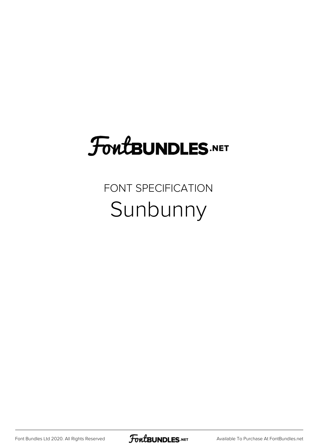## **FoutBUNDLES.NET**

## FONT SPECIFICATION Sunbunny

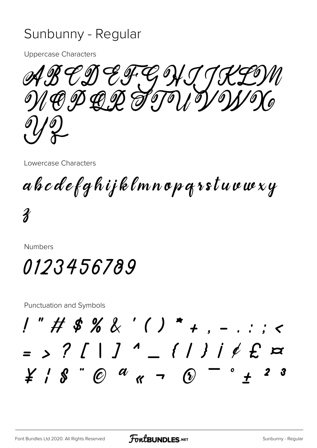## Sunbunny - Regular

**Uppercase Characters** 

 $\mathscr{GC}$ のとみてのく NAP DAP STOPIO

Lowercase Characters

abcdefghijklmnopgrstuvwxy

 $\boldsymbol{\mathcal{X}}$ 

**Numbers** 

0123456789

**Punctuation and Symbols** 

 $1"$  # \$ % & ' ( ) \* + . - $=$  > ? [ | ]  $^4$   $=$  { | } |  $\rlap{/}$   $\rlap{/}$   $\lbrack$   $\lbrack$   $\lbrack$  $\angle$   $\angle$   $\angle$   $\&$   $\degree$   $\circ$   $\circ$   $\&$   $\sim$   $\circ$ - 3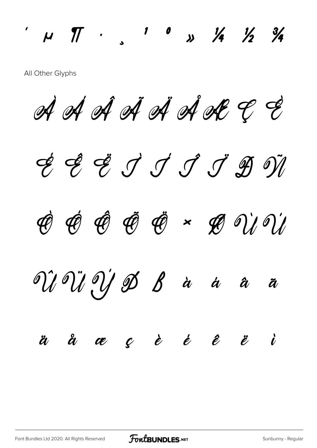All Other Glyphs

À Á Â Ã Ä Å Æ Ç È

 $\frac{1}{4}$   $\frac{1}{4}$   $\frac{1}{4}$   $\frac{1}{4}$   $\frac{1}{4}$   $\frac{1}{4}$   $\frac{1}{4}$ 

É Ê Ë Ì Í Î Ï Ð Ñ Ò Ó Ô Õ Ö × Ø Ù Ú Û Ü Ý Þ ß à á â ã ä å æ ç è é ê ë ì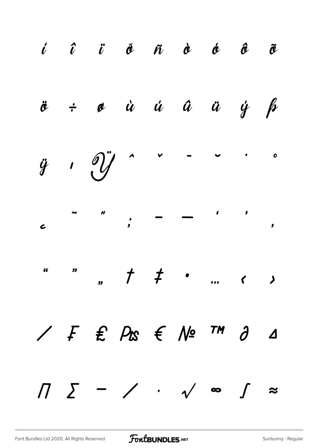